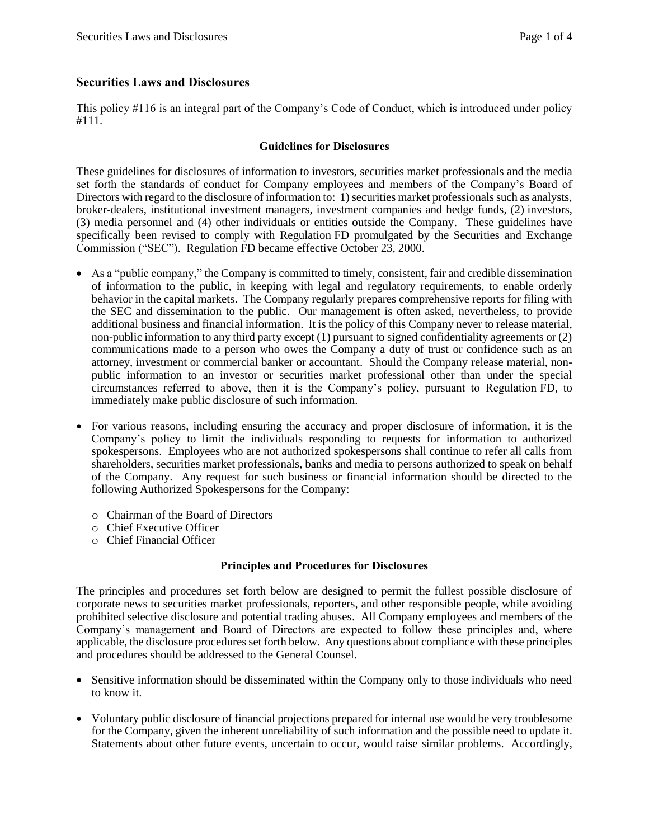# **Securities Laws and Disclosures**

This policy #116 is an integral part of the Company's Code of Conduct, which is introduced under policy #111.

## **Guidelines for Disclosures**

These guidelines for disclosures of information to investors, securities market professionals and the media set forth the standards of conduct for Company employees and members of the Company's Board of Directors with regard to the disclosure of information to: 1) securities market professionals such as analysts, broker-dealers, institutional investment managers, investment companies and hedge funds, (2) investors, (3) media personnel and (4) other individuals or entities outside the Company. These guidelines have specifically been revised to comply with Regulation FD promulgated by the Securities and Exchange Commission ("SEC"). Regulation FD became effective October 23, 2000.

- As a "public company," the Company is committed to timely, consistent, fair and credible dissemination of information to the public, in keeping with legal and regulatory requirements, to enable orderly behavior in the capital markets. The Company regularly prepares comprehensive reports for filing with the SEC and dissemination to the public. Our management is often asked, nevertheless, to provide additional business and financial information. It is the policy of this Company never to release material, non-public information to any third party except (1) pursuant to signed confidentiality agreements or (2) communications made to a person who owes the Company a duty of trust or confidence such as an attorney, investment or commercial banker or accountant. Should the Company release material, nonpublic information to an investor or securities market professional other than under the special circumstances referred to above, then it is the Company's policy, pursuant to Regulation FD, to immediately make public disclosure of such information.
- For various reasons, including ensuring the accuracy and proper disclosure of information, it is the Company's policy to limit the individuals responding to requests for information to authorized spokespersons. Employees who are not authorized spokespersons shall continue to refer all calls from shareholders, securities market professionals, banks and media to persons authorized to speak on behalf of the Company. Any request for such business or financial information should be directed to the following Authorized Spokespersons for the Company:
	- o Chairman of the Board of Directors
	- o Chief Executive Officer
	- o Chief Financial Officer

## **Principles and Procedures for Disclosures**

The principles and procedures set forth below are designed to permit the fullest possible disclosure of corporate news to securities market professionals, reporters, and other responsible people, while avoiding prohibited selective disclosure and potential trading abuses. All Company employees and members of the Company's management and Board of Directors are expected to follow these principles and, where applicable, the disclosure procedures set forth below. Any questions about compliance with these principles and procedures should be addressed to the General Counsel.

- Sensitive information should be disseminated within the Company only to those individuals who need to know it.
- Voluntary public disclosure of financial projections prepared for internal use would be very troublesome for the Company, given the inherent unreliability of such information and the possible need to update it. Statements about other future events, uncertain to occur, would raise similar problems. Accordingly,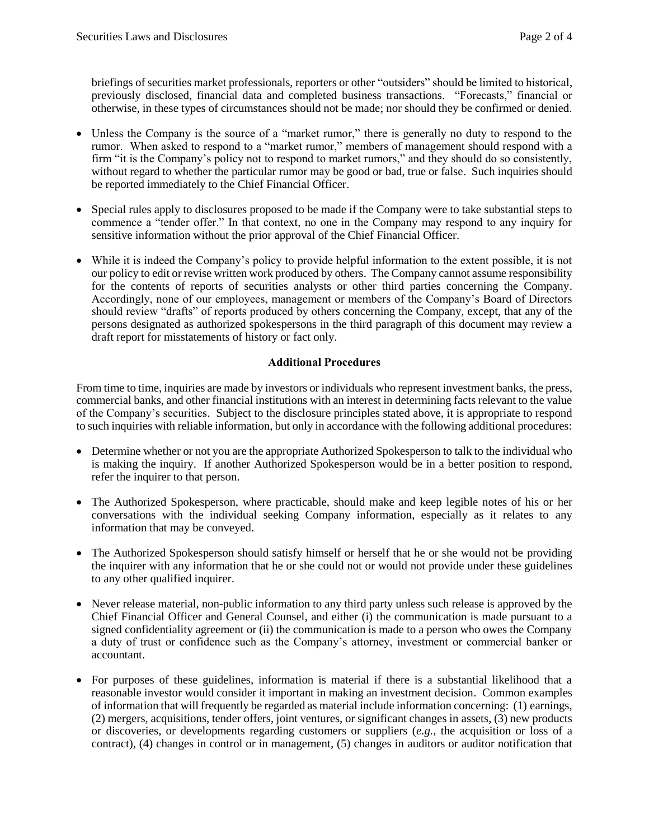briefings of securities market professionals, reporters or other "outsiders" should be limited to historical, previously disclosed, financial data and completed business transactions. "Forecasts," financial or otherwise, in these types of circumstances should not be made; nor should they be confirmed or denied.

- Unless the Company is the source of a "market rumor," there is generally no duty to respond to the rumor. When asked to respond to a "market rumor," members of management should respond with a firm "it is the Company's policy not to respond to market rumors," and they should do so consistently, without regard to whether the particular rumor may be good or bad, true or false. Such inquiries should be reported immediately to the Chief Financial Officer.
- Special rules apply to disclosures proposed to be made if the Company were to take substantial steps to commence a "tender offer." In that context, no one in the Company may respond to any inquiry for sensitive information without the prior approval of the Chief Financial Officer.
- While it is indeed the Company's policy to provide helpful information to the extent possible, it is not our policy to edit or revise written work produced by others. The Company cannot assume responsibility for the contents of reports of securities analysts or other third parties concerning the Company. Accordingly, none of our employees, management or members of the Company's Board of Directors should review "drafts" of reports produced by others concerning the Company, except, that any of the persons designated as authorized spokespersons in the third paragraph of this document may review a draft report for misstatements of history or fact only.

# **Additional Procedures**

From time to time, inquiries are made by investors or individuals who represent investment banks, the press, commercial banks, and other financial institutions with an interest in determining facts relevant to the value of the Company's securities. Subject to the disclosure principles stated above, it is appropriate to respond to such inquiries with reliable information, but only in accordance with the following additional procedures:

- Determine whether or not you are the appropriate Authorized Spokesperson to talk to the individual who is making the inquiry. If another Authorized Spokesperson would be in a better position to respond, refer the inquirer to that person.
- The Authorized Spokesperson, where practicable, should make and keep legible notes of his or her conversations with the individual seeking Company information, especially as it relates to any information that may be conveyed.
- The Authorized Spokesperson should satisfy himself or herself that he or she would not be providing the inquirer with any information that he or she could not or would not provide under these guidelines to any other qualified inquirer.
- Never release material, non-public information to any third party unless such release is approved by the Chief Financial Officer and General Counsel, and either (i) the communication is made pursuant to a signed confidentiality agreement or (ii) the communication is made to a person who owes the Company a duty of trust or confidence such as the Company's attorney, investment or commercial banker or accountant.
- For purposes of these guidelines, information is material if there is a substantial likelihood that a reasonable investor would consider it important in making an investment decision. Common examples of information that will frequently be regarded as material include information concerning: (1) earnings, (2) mergers, acquisitions, tender offers, joint ventures, or significant changes in assets, (3) new products or discoveries, or developments regarding customers or suppliers (*e.g.*, the acquisition or loss of a contract), (4) changes in control or in management, (5) changes in auditors or auditor notification that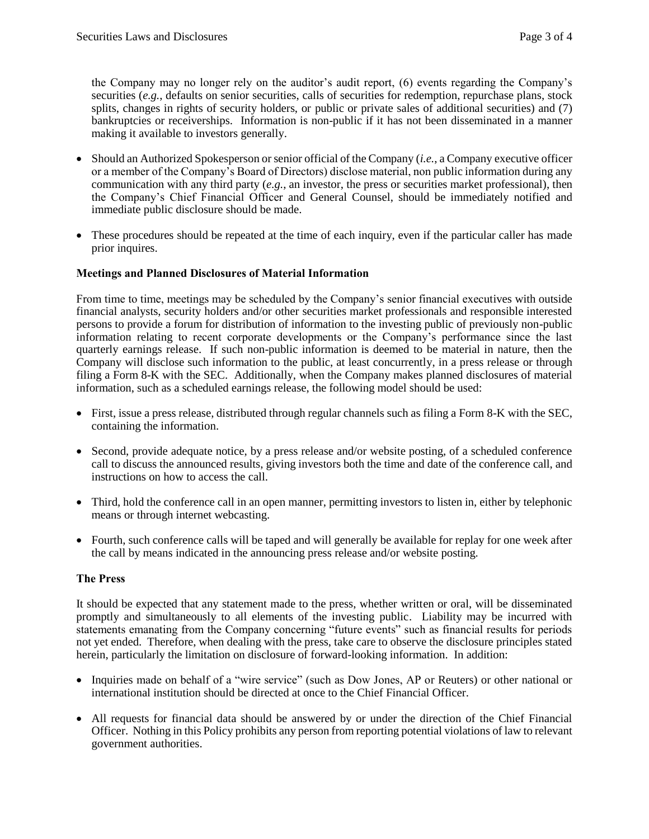the Company may no longer rely on the auditor's audit report, (6) events regarding the Company's securities (*e.g.*, defaults on senior securities, calls of securities for redemption, repurchase plans, stock splits, changes in rights of security holders, or public or private sales of additional securities) and (7) bankruptcies or receiverships. Information is non-public if it has not been disseminated in a manner making it available to investors generally.

- Should an Authorized Spokesperson or senior official of the Company (*i.e.*, a Company executive officer or a member of the Company's Board of Directors) disclose material, non public information during any communication with any third party (*e.g.*, an investor, the press or securities market professional), then the Company's Chief Financial Officer and General Counsel, should be immediately notified and immediate public disclosure should be made.
- These procedures should be repeated at the time of each inquiry, even if the particular caller has made prior inquires.

#### **Meetings and Planned Disclosures of Material Information**

From time to time, meetings may be scheduled by the Company's senior financial executives with outside financial analysts, security holders and/or other securities market professionals and responsible interested persons to provide a forum for distribution of information to the investing public of previously non-public information relating to recent corporate developments or the Company's performance since the last quarterly earnings release. If such non-public information is deemed to be material in nature, then the Company will disclose such information to the public, at least concurrently, in a press release or through filing a Form 8-K with the SEC. Additionally, when the Company makes planned disclosures of material information, such as a scheduled earnings release, the following model should be used:

- First, issue a press release, distributed through regular channels such as filing a Form 8-K with the SEC, containing the information.
- Second, provide adequate notice, by a press release and/or website posting, of a scheduled conference call to discuss the announced results, giving investors both the time and date of the conference call, and instructions on how to access the call.
- Third, hold the conference call in an open manner, permitting investors to listen in, either by telephonic means or through internet webcasting.
- Fourth, such conference calls will be taped and will generally be available for replay for one week after the call by means indicated in the announcing press release and/or website posting.

#### **The Press**

It should be expected that any statement made to the press, whether written or oral, will be disseminated promptly and simultaneously to all elements of the investing public. Liability may be incurred with statements emanating from the Company concerning "future events" such as financial results for periods not yet ended. Therefore, when dealing with the press, take care to observe the disclosure principles stated herein, particularly the limitation on disclosure of forward-looking information. In addition:

- Inquiries made on behalf of a "wire service" (such as Dow Jones, AP or Reuters) or other national or international institution should be directed at once to the Chief Financial Officer.
- All requests for financial data should be answered by or under the direction of the Chief Financial Officer. Nothing in this Policy prohibits any person from reporting potential violations of law to relevant government authorities.